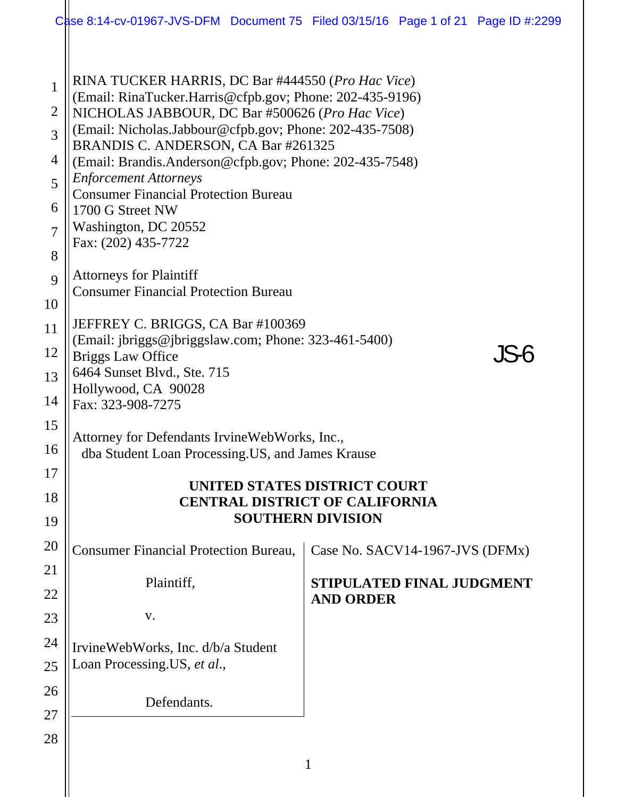|                                                                   | Case 8:14-cv-01967-JVS-DFM Document 75 Filed 03/15/16 Page 1 of 21 Page ID #:2299                                                                                                                                                                                                                                                                                                                                                                                                                                 |              |                                  |  |  |  |  |
|-------------------------------------------------------------------|-------------------------------------------------------------------------------------------------------------------------------------------------------------------------------------------------------------------------------------------------------------------------------------------------------------------------------------------------------------------------------------------------------------------------------------------------------------------------------------------------------------------|--------------|----------------------------------|--|--|--|--|
| $\mathbf{1}$<br>2<br>3<br>4<br>5<br>6<br>$\overline{7}$<br>8<br>9 | RINA TUCKER HARRIS, DC Bar #444550 (Pro Hac Vice)<br>(Email: RinaTucker.Harris@cfpb.gov; Phone: 202-435-9196)<br>NICHOLAS JABBOUR, DC Bar #500626 (Pro Hac Vice)<br>(Email: Nicholas.Jabbour@cfpb.gov; Phone: 202-435-7508)<br>BRANDIS C. ANDERSON, CA Bar #261325<br>(Email: Brandis.Anderson@cfpb.gov; Phone: 202-435-7548)<br><b>Enforcement Attorneys</b><br><b>Consumer Financial Protection Bureau</b><br>1700 G Street NW<br>Washington, DC 20552<br>Fax: (202) 435-7722<br><b>Attorneys for Plaintiff</b> |              |                                  |  |  |  |  |
| 10<br>11                                                          | <b>Consumer Financial Protection Bureau</b><br>JEFFREY C. BRIGGS, CA Bar #100369                                                                                                                                                                                                                                                                                                                                                                                                                                  |              |                                  |  |  |  |  |
| 12<br>13                                                          | (Email: jbriggs@jbriggslaw.com; Phone: 323-461-5400)<br><b>Briggs Law Office</b><br>6464 Sunset Blvd., Ste. 715<br>Hollywood, CA 90028<br>Fax: 323-908-7275                                                                                                                                                                                                                                                                                                                                                       |              |                                  |  |  |  |  |
| 14                                                                |                                                                                                                                                                                                                                                                                                                                                                                                                                                                                                                   |              |                                  |  |  |  |  |
| 15<br>16                                                          | Attorney for Defendants IrvineWebWorks, Inc.,<br>dba Student Loan Processing. US, and James Krause                                                                                                                                                                                                                                                                                                                                                                                                                |              |                                  |  |  |  |  |
| 17<br>18<br>19                                                    | UNITED STATES DISTRICT COURT<br><b>CENTRAL DISTRICT OF CALIFORNIA</b><br><b>SOUTHERN DIVISION</b>                                                                                                                                                                                                                                                                                                                                                                                                                 |              |                                  |  |  |  |  |
| 20                                                                | <b>Consumer Financial Protection Bureau,</b>                                                                                                                                                                                                                                                                                                                                                                                                                                                                      |              | Case No. SACV14-1967-JVS (DFMx)  |  |  |  |  |
| 21                                                                | Plaintiff,                                                                                                                                                                                                                                                                                                                                                                                                                                                                                                        |              | <b>STIPULATED FINAL JUDGMENT</b> |  |  |  |  |
| 22<br>23                                                          | V.                                                                                                                                                                                                                                                                                                                                                                                                                                                                                                                |              | <b>AND ORDER</b>                 |  |  |  |  |
| 24                                                                | IrvineWebWorks, Inc. d/b/a Student                                                                                                                                                                                                                                                                                                                                                                                                                                                                                |              |                                  |  |  |  |  |
| 25                                                                | Loan Processing. US, et al.,                                                                                                                                                                                                                                                                                                                                                                                                                                                                                      |              |                                  |  |  |  |  |
| 26                                                                | Defendants.                                                                                                                                                                                                                                                                                                                                                                                                                                                                                                       |              |                                  |  |  |  |  |
| 27<br>28                                                          |                                                                                                                                                                                                                                                                                                                                                                                                                                                                                                                   |              |                                  |  |  |  |  |
|                                                                   |                                                                                                                                                                                                                                                                                                                                                                                                                                                                                                                   | $\mathbf{1}$ |                                  |  |  |  |  |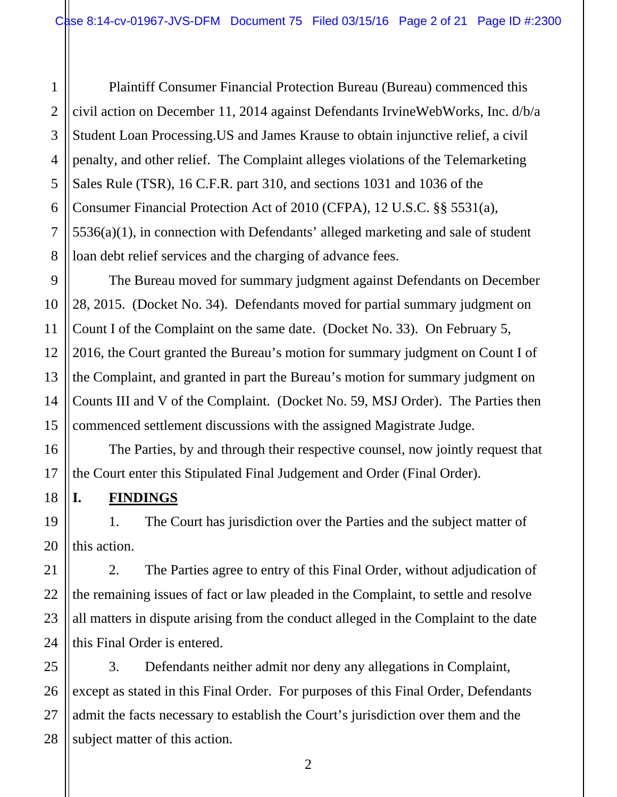1 2 3 4 5 6 7 8 Plaintiff Consumer Financial Protection Bureau (Bureau) commenced this civil action on December 11, 2014 against Defendants IrvineWebWorks, Inc. d/b/a Student Loan Processing.US and James Krause to obtain injunctive relief, a civil penalty, and other relief. The Complaint alleges violations of the Telemarketing Sales Rule (TSR), 16 C.F.R. part 310, and sections 1031 and 1036 of the Consumer Financial Protection Act of 2010 (CFPA), 12 U.S.C. §§ 5531(a), 5536(a)(1), in connection with Defendants' alleged marketing and sale of student loan debt relief services and the charging of advance fees.

9 The Bureau moved for summary judgment against Defendants on December 28, 2015. (Docket No. 34). Defendants moved for partial summary judgment on Count I of the Complaint on the same date. (Docket No. 33). On February 5, 2016, the Court granted the Bureau's motion for summary judgment on Count I of the Complaint, and granted in part the Bureau's motion for summary judgment on Counts III and V of the Complaint. (Docket No. 59, MSJ Order). The Parties then commenced settlement discussions with the assigned Magistrate Judge.

The Parties, by and through their respective counsel, now jointly request that the Court enter this Stipulated Final Judgement and Order (Final Order).

#### **I. FINDINGS**

1. The Court has jurisdiction over the Parties and the subject matter of this action.

2. The Parties agree to entry of this Final Order, without adjudication of the remaining issues of fact or law pleaded in the Complaint, to settle and resolve all matters in dispute arising from the conduct alleged in the Complaint to the date this Final Order is entered.

3. Defendants neither admit nor deny any allegations in Complaint, except as stated in this Final Order. For purposes of this Final Order, Defendants admit the facts necessary to establish the Court's jurisdiction over them and the subject matter of this action.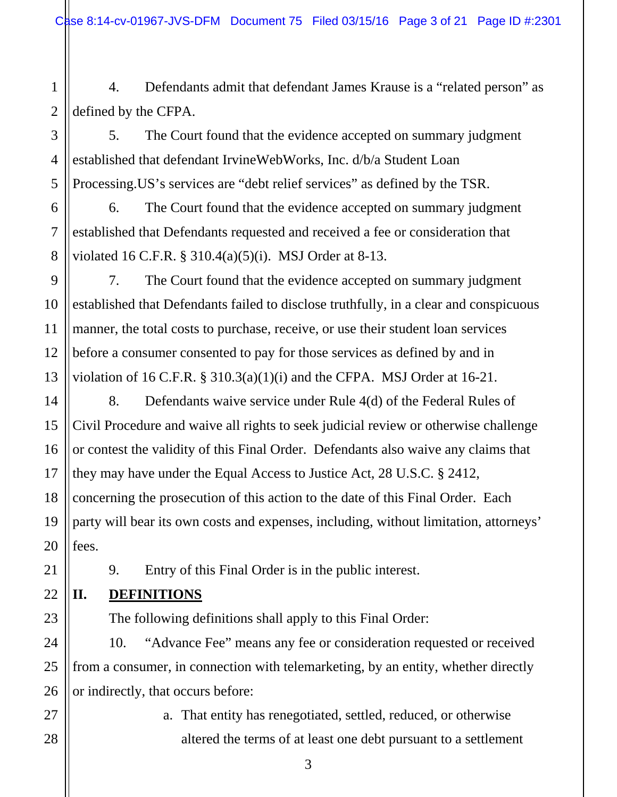Case 8:14-cv-01967-JVS-DFM Document 75 Filed 03/15/16 Page 3 of 21 Page ID #:2301

1 2 4. Defendants admit that defendant James Krause is a "related person" as defined by the CFPA.

4 5. The Court found that the evidence accepted on summary judgment established that defendant IrvineWebWorks, Inc. d/b/a Student Loan Processing.US's services are "debt relief services" as defined by the TSR.

6. The Court found that the evidence accepted on summary judgment established that Defendants requested and received a fee or consideration that violated 16 C.F.R. § 310.4(a)(5)(i). MSJ Order at 8-13.

9 10 11 12 13 7. The Court found that the evidence accepted on summary judgment established that Defendants failed to disclose truthfully, in a clear and conspicuous manner, the total costs to purchase, receive, or use their student loan services before a consumer consented to pay for those services as defined by and in violation of 16 C.F.R. § 310.3(a)(1)(i) and the CFPA. MSJ Order at 16-21.

14 16 18 19 20 8. Defendants waive service under Rule 4(d) of the Federal Rules of Civil Procedure and waive all rights to seek judicial review or otherwise challenge or contest the validity of this Final Order. Defendants also waive any claims that they may have under the Equal Access to Justice Act, 28 U.S.C. § 2412, concerning the prosecution of this action to the date of this Final Order. Each party will bear its own costs and expenses, including, without limitation, attorneys' fees.

9. Entry of this Final Order is in the public interest.

#### **II. DEFINITIONS**

3

5

6

7

8

15

17

21

22

23

27

28

The following definitions shall apply to this Final Order:

24 25 26 10. "Advance Fee" means any fee or consideration requested or received from a consumer, in connection with telemarketing, by an entity, whether directly or indirectly, that occurs before:

> a. That entity has renegotiated, settled, reduced, or otherwise altered the terms of at least one debt pursuant to a settlement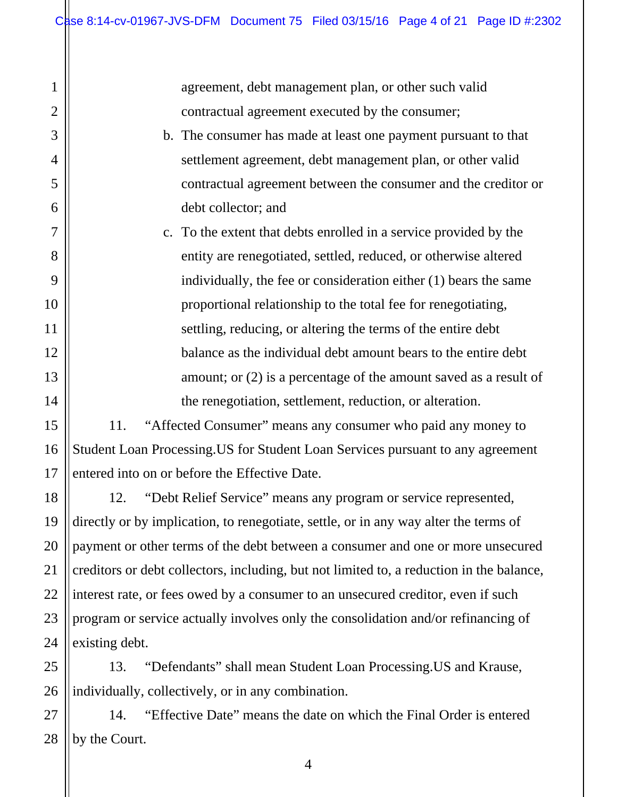agreement, debt management plan, or other such valid contractual agreement executed by the consumer;

b. The consumer has made at least one payment pursuant to that settlement agreement, debt management plan, or other valid contractual agreement between the consumer and the creditor or debt collector; and

c. To the extent that debts enrolled in a service provided by the entity are renegotiated, settled, reduced, or otherwise altered individually, the fee or consideration either (1) bears the same proportional relationship to the total fee for renegotiating, settling, reducing, or altering the terms of the entire debt balance as the individual debt amount bears to the entire debt amount; or (2) is a percentage of the amount saved as a result of the renegotiation, settlement, reduction, or alteration.

11. "Affected Consumer" means any consumer who paid any money to Student Loan Processing.US for Student Loan Services pursuant to any agreement entered into on or before the Effective Date.

12. "Debt Relief Service" means any program or service represented, directly or by implication, to renegotiate, settle, or in any way alter the terms of payment or other terms of the debt between a consumer and one or more unsecured creditors or debt collectors, including, but not limited to, a reduction in the balance, interest rate, or fees owed by a consumer to an unsecured creditor, even if such program or service actually involves only the consolidation and/or refinancing of existing debt.

13. "Defendants" shall mean Student Loan Processing.US and Krause, individually, collectively, or in any combination.

14. "Effective Date" means the date on which the Final Order is entered by the Court.

1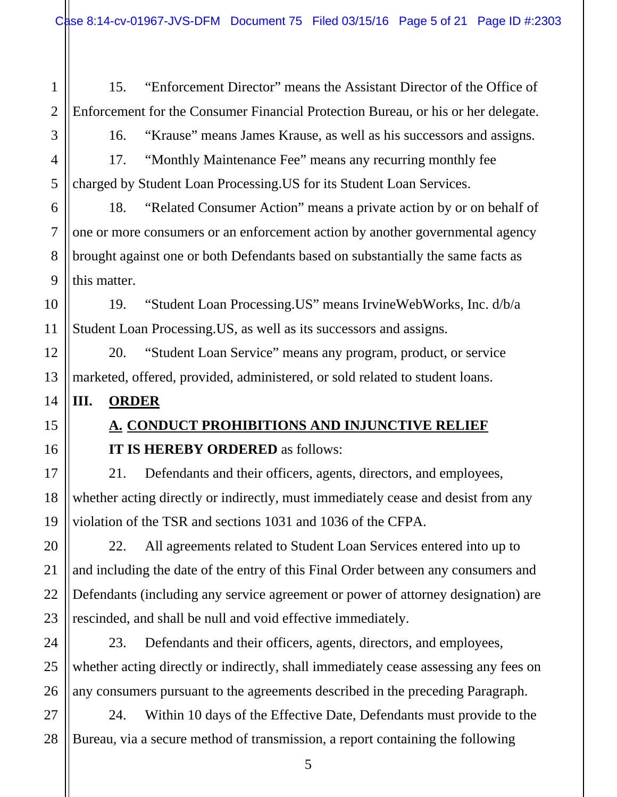1 2 15. "Enforcement Director" means the Assistant Director of the Office of Enforcement for the Consumer Financial Protection Bureau, or his or her delegate.

3

4

5

6

16. "Krause" means James Krause, as well as his successors and assigns.

17. "Monthly Maintenance Fee" means any recurring monthly fee charged by Student Loan Processing.US for its Student Loan Services.

18. "Related Consumer Action" means a private action by or on behalf of one or more consumers or an enforcement action by another governmental agency brought against one or both Defendants based on substantially the same facts as this matter.

19. "Student Loan Processing.US" means IrvineWebWorks, Inc. d/b/a Student Loan Processing.US, as well as its successors and assigns.

20. "Student Loan Service" means any program, product, or service marketed, offered, provided, administered, or sold related to student loans.

#### **III. ORDER**

**A. CONDUCT PROHIBITIONS AND INJUNCTIVE RELIEF IT IS HEREBY ORDERED** as follows:

21. Defendants and their officers, agents, directors, and employees, whether acting directly or indirectly, must immediately cease and desist from any violation of the TSR and sections 1031 and 1036 of the CFPA.

22. All agreements related to Student Loan Services entered into up to and including the date of the entry of this Final Order between any consumers and Defendants (including any service agreement or power of attorney designation) are rescinded, and shall be null and void effective immediately.

23. Defendants and their officers, agents, directors, and employees, whether acting directly or indirectly, shall immediately cease assessing any fees on any consumers pursuant to the agreements described in the preceding Paragraph.

24. Within 10 days of the Effective Date, Defendants must provide to the Bureau, via a secure method of transmission, a report containing the following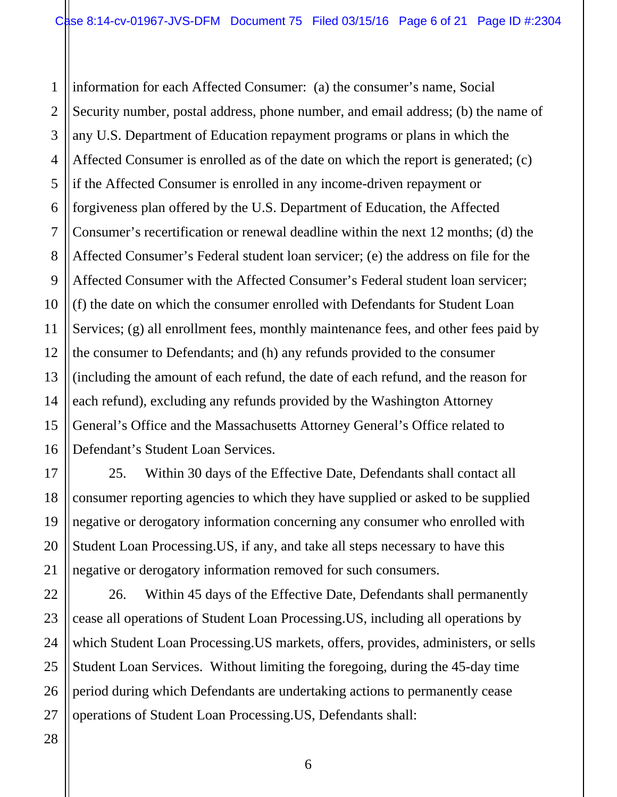1 2 3 4 5 6 7 8 9 10 11 12 13 14 15 16 information for each Affected Consumer: (a) the consumer's name, Social Security number, postal address, phone number, and email address; (b) the name of any U.S. Department of Education repayment programs or plans in which the Affected Consumer is enrolled as of the date on which the report is generated; (c) if the Affected Consumer is enrolled in any income-driven repayment or forgiveness plan offered by the U.S. Department of Education, the Affected Consumer's recertification or renewal deadline within the next 12 months; (d) the Affected Consumer's Federal student loan servicer; (e) the address on file for the Affected Consumer with the Affected Consumer's Federal student loan servicer; (f) the date on which the consumer enrolled with Defendants for Student Loan Services; (g) all enrollment fees, monthly maintenance fees, and other fees paid by the consumer to Defendants; and (h) any refunds provided to the consumer (including the amount of each refund, the date of each refund, and the reason for each refund), excluding any refunds provided by the Washington Attorney General's Office and the Massachusetts Attorney General's Office related to Defendant's Student Loan Services.

25. Within 30 days of the Effective Date, Defendants shall contact all consumer reporting agencies to which they have supplied or asked to be supplied negative or derogatory information concerning any consumer who enrolled with Student Loan Processing.US, if any, and take all steps necessary to have this negative or derogatory information removed for such consumers.

22 23 24 25 26 26. Within 45 days of the Effective Date, Defendants shall permanently cease all operations of Student Loan Processing.US, including all operations by which Student Loan Processing.US markets, offers, provides, administers, or sells Student Loan Services. Without limiting the foregoing, during the 45-day time period during which Defendants are undertaking actions to permanently cease operations of Student Loan Processing.US, Defendants shall:

27 28

17

18

19

20

21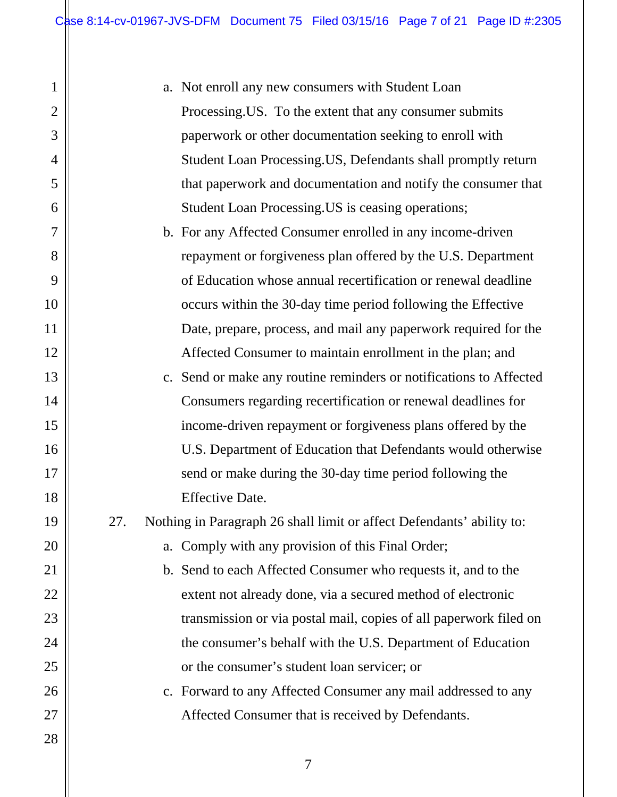a. Not enroll any new consumers with Student Loan Processing.US. To the extent that any consumer submits paperwork or other documentation seeking to enroll with Student Loan Processing.US, Defendants shall promptly return that paperwork and documentation and notify the consumer that Student Loan Processing.US is ceasing operations;

b. For any Affected Consumer enrolled in any income-driven repayment or forgiveness plan offered by the U.S. Department of Education whose annual recertification or renewal deadline occurs within the 30-day time period following the Effective Date, prepare, process, and mail any paperwork required for the Affected Consumer to maintain enrollment in the plan; and

- c. Send or make any routine reminders or notifications to Affected Consumers regarding recertification or renewal deadlines for income-driven repayment or forgiveness plans offered by the U.S. Department of Education that Defendants would otherwise send or make during the 30-day time period following the Effective Date.
- 27. Nothing in Paragraph 26 shall limit or affect Defendants' ability to:

a. Comply with any provision of this Final Order;

b. Send to each Affected Consumer who requests it, and to the extent not already done, via a secured method of electronic transmission or via postal mail, copies of all paperwork filed on the consumer's behalf with the U.S. Department of Education or the consumer's student loan servicer; or

c. Forward to any Affected Consumer any mail addressed to any Affected Consumer that is received by Defendants.

28

1

2

3

4

5

6

7

8

9

10

11

12

13

14

15

16

17

18

19

20

21

22

23

24

25

26

27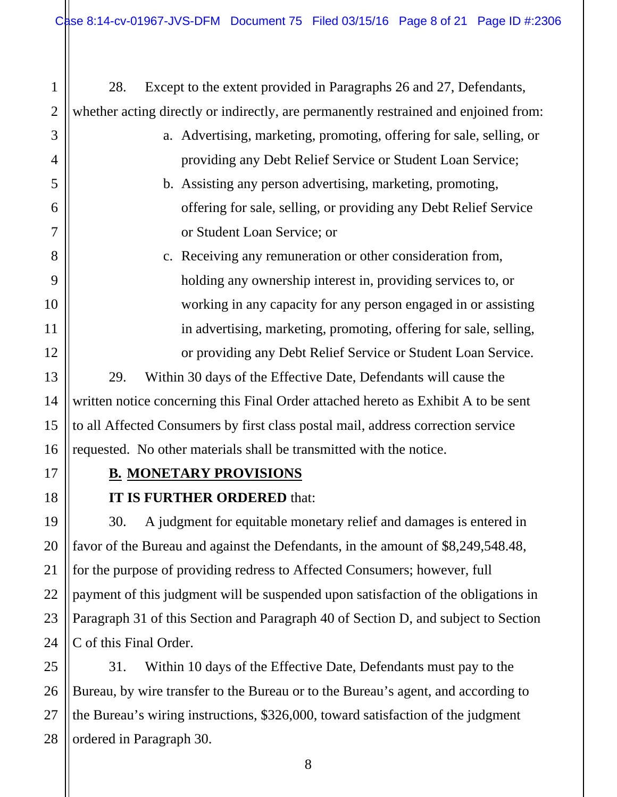28. Except to the extent provided in Paragraphs 26 and 27, Defendants, whether acting directly or indirectly, are permanently restrained and enjoined from:

- a. Advertising, marketing, promoting, offering for sale, selling, or providing any Debt Relief Service or Student Loan Service;
- b. Assisting any person advertising, marketing, promoting, offering for sale, selling, or providing any Debt Relief Service or Student Loan Service; or
- c. Receiving any remuneration or other consideration from, holding any ownership interest in, providing services to, or working in any capacity for any person engaged in or assisting in advertising, marketing, promoting, offering for sale, selling, or providing any Debt Relief Service or Student Loan Service.

29. Within 30 days of the Effective Date, Defendants will cause the written notice concerning this Final Order attached hereto as Exhibit A to be sent to all Affected Consumers by first class postal mail, address correction service requested. No other materials shall be transmitted with the notice.

1

2

3

4

5

6

7

8

9

10

11

12

13

14

15

16

17

18

19

20

21

22

23

24

#### **B. MONETARY PROVISIONS**

#### **IT IS FURTHER ORDERED** that:

30. A judgment for equitable monetary relief and damages is entered in favor of the Bureau and against the Defendants, in the amount of \$8,249,548.48, for the purpose of providing redress to Affected Consumers; however, full payment of this judgment will be suspended upon satisfaction of the obligations in Paragraph 31 of this Section and Paragraph 40 of Section D, and subject to Section C of this Final Order.

25 26 27 28 31. Within 10 days of the Effective Date, Defendants must pay to the Bureau, by wire transfer to the Bureau or to the Bureau's agent, and according to the Bureau's wiring instructions, \$326,000, toward satisfaction of the judgment ordered in Paragraph 30.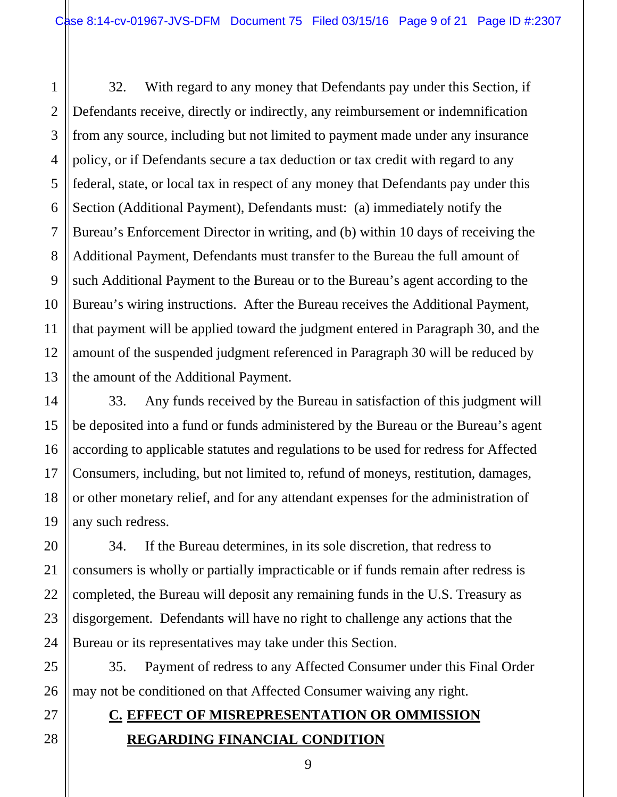3 4 5 6 7 8 9 32. With regard to any money that Defendants pay under this Section, if Defendants receive, directly or indirectly, any reimbursement or indemnification from any source, including but not limited to payment made under any insurance policy, or if Defendants secure a tax deduction or tax credit with regard to any federal, state, or local tax in respect of any money that Defendants pay under this Section (Additional Payment), Defendants must: (a) immediately notify the Bureau's Enforcement Director in writing, and (b) within 10 days of receiving the Additional Payment, Defendants must transfer to the Bureau the full amount of such Additional Payment to the Bureau or to the Bureau's agent according to the Bureau's wiring instructions. After the Bureau receives the Additional Payment, that payment will be applied toward the judgment entered in Paragraph 30, and the amount of the suspended judgment referenced in Paragraph 30 will be reduced by the amount of the Additional Payment.

33. Any funds received by the Bureau in satisfaction of this judgment will be deposited into a fund or funds administered by the Bureau or the Bureau's agent according to applicable statutes and regulations to be used for redress for Affected Consumers, including, but not limited to, refund of moneys, restitution, damages, or other monetary relief, and for any attendant expenses for the administration of any such redress.

34. If the Bureau determines, in its sole discretion, that redress to consumers is wholly or partially impracticable or if funds remain after redress is completed, the Bureau will deposit any remaining funds in the U.S. Treasury as disgorgement. Defendants will have no right to challenge any actions that the Bureau or its representatives may take under this Section.

35. Payment of redress to any Affected Consumer under this Final Order may not be conditioned on that Affected Consumer waiving any right.

#### **C. EFFECT OF MISREPRESENTATION OR OMMISSION REGARDING FINANCIAL CONDITION**

1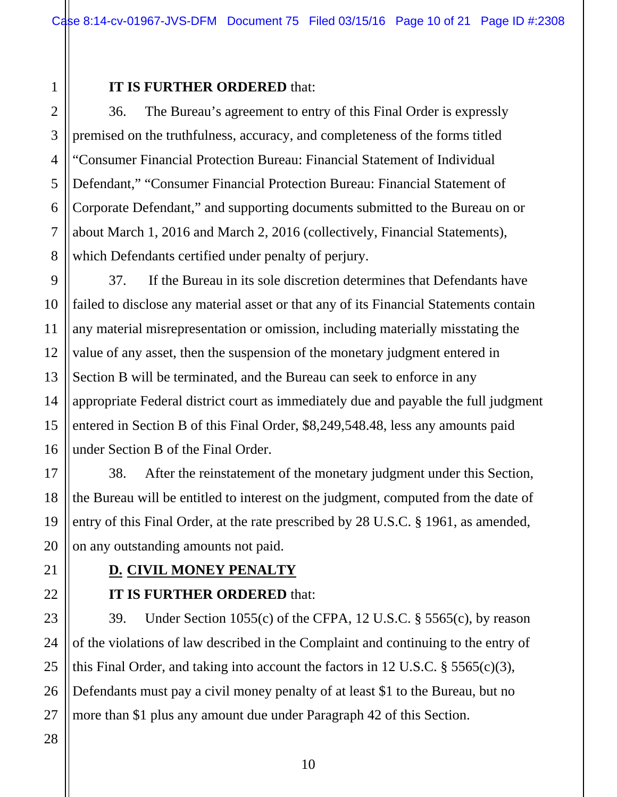#### **IT IS FURTHER ORDERED** that:

36. The Bureau's agreement to entry of this Final Order is expressly premised on the truthfulness, accuracy, and completeness of the forms titled "Consumer Financial Protection Bureau: Financial Statement of Individual Defendant," "Consumer Financial Protection Bureau: Financial Statement of Corporate Defendant," and supporting documents submitted to the Bureau on or about March 1, 2016 and March 2, 2016 (collectively, Financial Statements), which Defendants certified under penalty of perjury.

37. If the Bureau in its sole discretion determines that Defendants have failed to disclose any material asset or that any of its Financial Statements contain any material misrepresentation or omission, including materially misstating the value of any asset, then the suspension of the monetary judgment entered in Section B will be terminated, and the Bureau can seek to enforce in any appropriate Federal district court as immediately due and payable the full judgment entered in Section B of this Final Order, \$8,249,548.48, less any amounts paid under Section B of the Final Order.

38. After the reinstatement of the monetary judgment under this Section, the Bureau will be entitled to interest on the judgment, computed from the date of entry of this Final Order, at the rate prescribed by 28 U.S.C. § 1961, as amended, on any outstanding amounts not paid.

## **D. CIVIL MONEY PENALTY**

#### **IT IS FURTHER ORDERED** that:

39. Under Section 1055(c) of the CFPA, 12 U.S.C. § 5565(c), by reason of the violations of law described in the Complaint and continuing to the entry of this Final Order, and taking into account the factors in 12 U.S.C.  $\S$  5565(c)(3), Defendants must pay a civil money penalty of at least \$1 to the Bureau, but no more than \$1 plus any amount due under Paragraph 42 of this Section.

25 26 27

1

2

3

4

5

6

7

8

9

10

11

12

13

14

15

16

17

18

19

20

21

22

23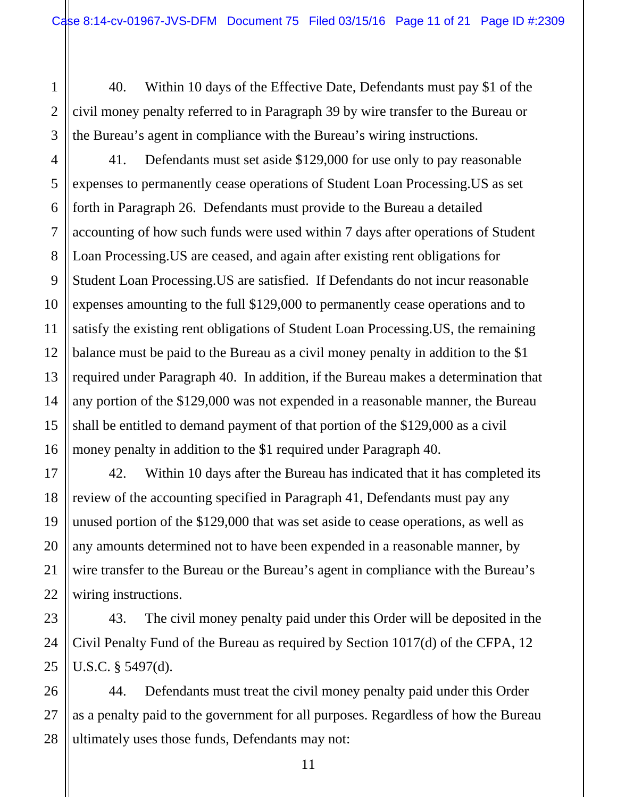40. Within 10 days of the Effective Date, Defendants must pay \$1 of the civil money penalty referred to in Paragraph 39 by wire transfer to the Bureau or the Bureau's agent in compliance with the Bureau's wiring instructions.

1

2

3

5

7

9

10

11

13

15

17

18

19

20

21

22

23

24

25

4 6 8 12 14 16 41. Defendants must set aside \$129,000 for use only to pay reasonable expenses to permanently cease operations of Student Loan Processing.US as set forth in Paragraph 26. Defendants must provide to the Bureau a detailed accounting of how such funds were used within 7 days after operations of Student Loan Processing.US are ceased, and again after existing rent obligations for Student Loan Processing.US are satisfied. If Defendants do not incur reasonable expenses amounting to the full \$129,000 to permanently cease operations and to satisfy the existing rent obligations of Student Loan Processing.US, the remaining balance must be paid to the Bureau as a civil money penalty in addition to the \$1 required under Paragraph 40. In addition, if the Bureau makes a determination that any portion of the \$129,000 was not expended in a reasonable manner, the Bureau shall be entitled to demand payment of that portion of the \$129,000 as a civil money penalty in addition to the \$1 required under Paragraph 40.

42. Within 10 days after the Bureau has indicated that it has completed its review of the accounting specified in Paragraph 41, Defendants must pay any unused portion of the \$129,000 that was set aside to cease operations, as well as any amounts determined not to have been expended in a reasonable manner, by wire transfer to the Bureau or the Bureau's agent in compliance with the Bureau's wiring instructions.

43. The civil money penalty paid under this Order will be deposited in the Civil Penalty Fund of the Bureau as required by Section 1017(d) of the CFPA, 12 U.S.C. § 5497(d).

26 27 28 44. Defendants must treat the civil money penalty paid under this Order as a penalty paid to the government for all purposes. Regardless of how the Bureau ultimately uses those funds, Defendants may not: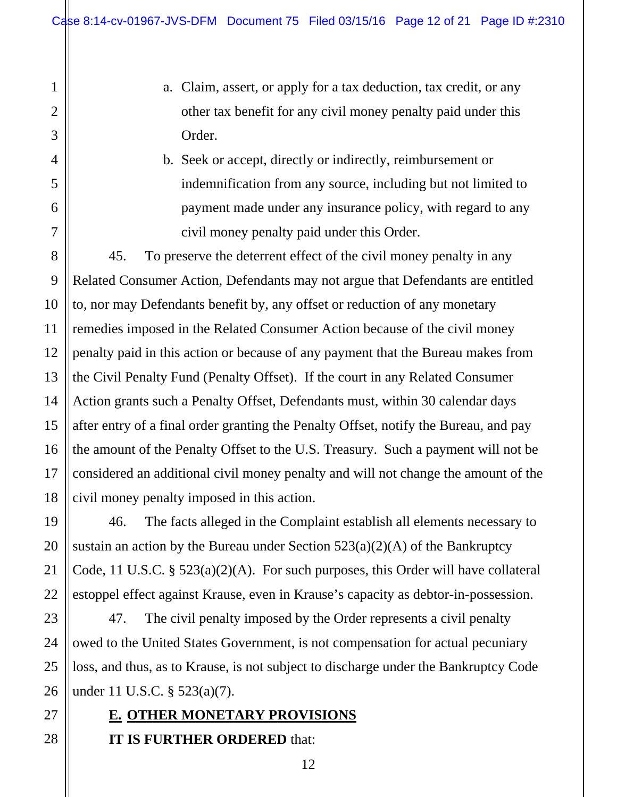- a. Claim, assert, or apply for a tax deduction, tax credit, or any other tax benefit for any civil money penalty paid under this Order.
- b. Seek or accept, directly or indirectly, reimbursement or indemnification from any source, including but not limited to payment made under any insurance policy, with regard to any civil money penalty paid under this Order.

45. To preserve the deterrent effect of the civil money penalty in any Related Consumer Action, Defendants may not argue that Defendants are entitled to, nor may Defendants benefit by, any offset or reduction of any monetary remedies imposed in the Related Consumer Action because of the civil money penalty paid in this action or because of any payment that the Bureau makes from the Civil Penalty Fund (Penalty Offset). If the court in any Related Consumer Action grants such a Penalty Offset, Defendants must, within 30 calendar days after entry of a final order granting the Penalty Offset, notify the Bureau, and pay the amount of the Penalty Offset to the U.S. Treasury. Such a payment will not be considered an additional civil money penalty and will not change the amount of the civil money penalty imposed in this action.

46. The facts alleged in the Complaint establish all elements necessary to sustain an action by the Bureau under Section  $523(a)(2)(A)$  of the Bankruptcy Code, 11 U.S.C. § 523(a)(2)(A). For such purposes, this Order will have collateral estoppel effect against Krause, even in Krause's capacity as debtor-in-possession.

47. The civil penalty imposed by the Order represents a civil penalty owed to the United States Government, is not compensation for actual pecuniary loss, and thus, as to Krause, is not subject to discharge under the Bankruptcy Code under 11 U.S.C. § 523(a)(7).

**E. OTHER MONETARY PROVISIONS** 

#### **IT IS FURTHER ORDERED** that: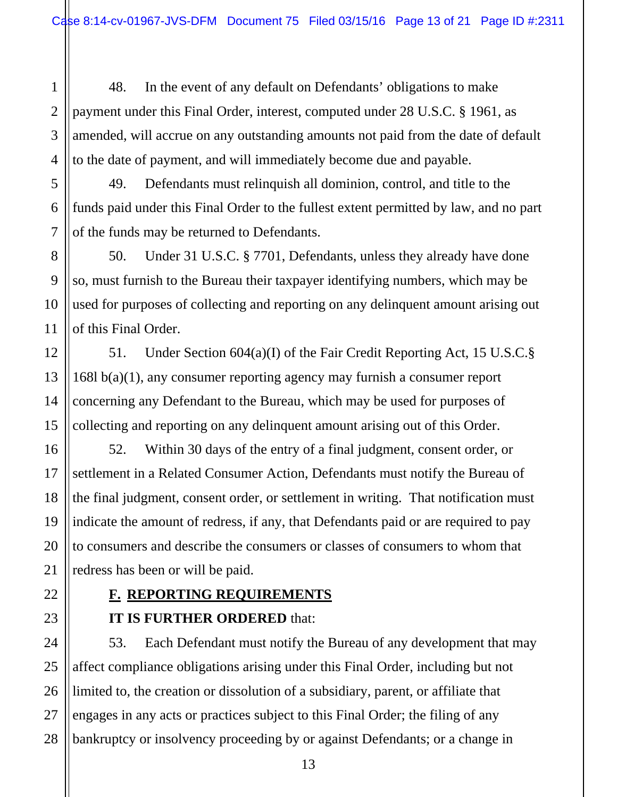48. In the event of any default on Defendants' obligations to make payment under this Final Order, interest, computed under 28 U.S.C. § 1961, as amended, will accrue on any outstanding amounts not paid from the date of default to the date of payment, and will immediately become due and payable.

49. Defendants must relinquish all dominion, control, and title to the funds paid under this Final Order to the fullest extent permitted by law, and no part of the funds may be returned to Defendants.

50. Under 31 U.S.C. § 7701, Defendants, unless they already have done so, must furnish to the Bureau their taxpayer identifying numbers, which may be used for purposes of collecting and reporting on any delinquent amount arising out of this Final Order.

51. Under Section 604(a)(I) of the Fair Credit Reporting Act, 15 U.S.C.§ 168l b(a)(1), any consumer reporting agency may furnish a consumer report concerning any Defendant to the Bureau, which may be used for purposes of collecting and reporting on any delinquent amount arising out of this Order.

52. Within 30 days of the entry of a final judgment, consent order, or settlement in a Related Consumer Action, Defendants must notify the Bureau of the final judgment, consent order, or settlement in writing. That notification must indicate the amount of redress, if any, that Defendants paid or are required to pay to consumers and describe the consumers or classes of consumers to whom that redress has been or will be paid.

# **F. REPORTING REQUIREMENTS**

#### **IT IS FURTHER ORDERED** that:

53. Each Defendant must notify the Bureau of any development that may affect compliance obligations arising under this Final Order, including but not limited to, the creation or dissolution of a subsidiary, parent, or affiliate that engages in any acts or practices subject to this Final Order; the filing of any bankruptcy or insolvency proceeding by or against Defendants; or a change in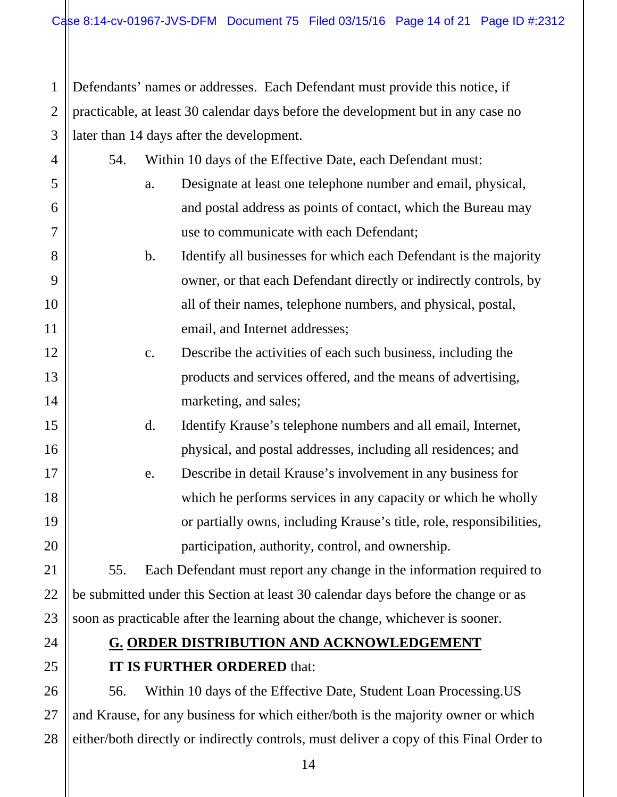1 2 3 Defendants' names or addresses. Each Defendant must provide this notice, if practicable, at least 30 calendar days before the development but in any case no later than 14 days after the development.

| $\overline{4}$ | 54. | Within 10 days of the Effective Date, each Defendant must:                        |
|----------------|-----|-----------------------------------------------------------------------------------|
| 5              |     | Designate at least one telephone number and email, physical,<br>a.                |
| 6              |     | and postal address as points of contact, which the Bureau may                     |
| $\overline{7}$ |     | use to communicate with each Defendant;                                           |
| 8              |     | $\mathbf b$ .<br>Identify all businesses for which each Defendant is the majority |
| 9              |     | owner, or that each Defendant directly or indirectly controls, by                 |
| 10             |     | all of their names, telephone numbers, and physical, postal,                      |
| 11             |     | email, and Internet addresses;                                                    |
| 12             |     | Describe the activities of each such business, including the<br>$\mathbf{c}$ .    |
| 13             |     | products and services offered, and the means of advertising,                      |
| 14             |     | marketing, and sales;                                                             |
| 15             |     | d.<br>Identify Krause's telephone numbers and all email, Internet,                |
| 16             |     | physical, and postal addresses, including all residences; and                     |
| 17             |     | Describe in detail Krause's involvement in any business for<br>e.                 |
| 18             |     | which he performs services in any capacity or which he wholly                     |
| 19             |     | or partially owns, including Krause's title, role, responsibilities,              |
| 20             |     | participation, authority, control, and ownership.                                 |
| 21             | 55. | Each Defendant must report any change in the information required to              |
| 22             |     | be submitted under this Section at least 30 calendar days before the change or as |
| 23             |     | soon as practicable after the learning about the change, whichever is sooner.     |
| 24             |     | <b>G. ORDER DISTRIBUTION AND ACKNOWLEDGEMENT</b>                                  |
| 25             |     | <b>IT IS FURTHER ORDERED that:</b>                                                |
|                |     |                                                                                   |

26 27 28 56. Within 10 days of the Effective Date, Student Loan Processing.US and Krause, for any business for which either/both is the majority owner or which either/both directly or indirectly controls, must deliver a copy of this Final Order to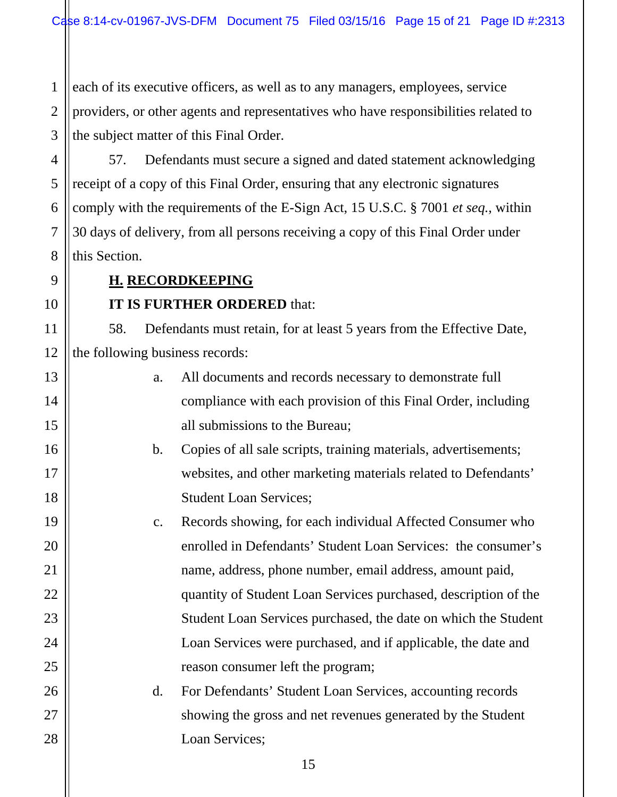1 2 3 each of its executive officers, as well as to any managers, employees, service providers, or other agents and representatives who have responsibilities related to the subject matter of this Final Order.

4 5 6 7 8 57. Defendants must secure a signed and dated statement acknowledging receipt of a copy of this Final Order, ensuring that any electronic signatures comply with the requirements of the E-Sign Act, 15 U.S.C. § 7001 *et seq.*, within 30 days of delivery, from all persons receiving a copy of this Final Order under this Section.

**H. RECORDKEEPING** 

9

10

11

13

14

15

16

17

18

19

20

21

22

23

24

25

26

27

28

### **IT IS FURTHER ORDERED** that:

12 58. Defendants must retain, for at least 5 years from the Effective Date, the following business records:

- a. All documents and records necessary to demonstrate full compliance with each provision of this Final Order, including all submissions to the Bureau;
	- b. Copies of all sale scripts, training materials, advertisements; websites, and other marketing materials related to Defendants' Student Loan Services;

c. Records showing, for each individual Affected Consumer who enrolled in Defendants' Student Loan Services: the consumer's name, address, phone number, email address, amount paid, quantity of Student Loan Services purchased, description of the Student Loan Services purchased, the date on which the Student Loan Services were purchased, and if applicable, the date and reason consumer left the program;

d. For Defendants' Student Loan Services, accounting records showing the gross and net revenues generated by the Student Loan Services;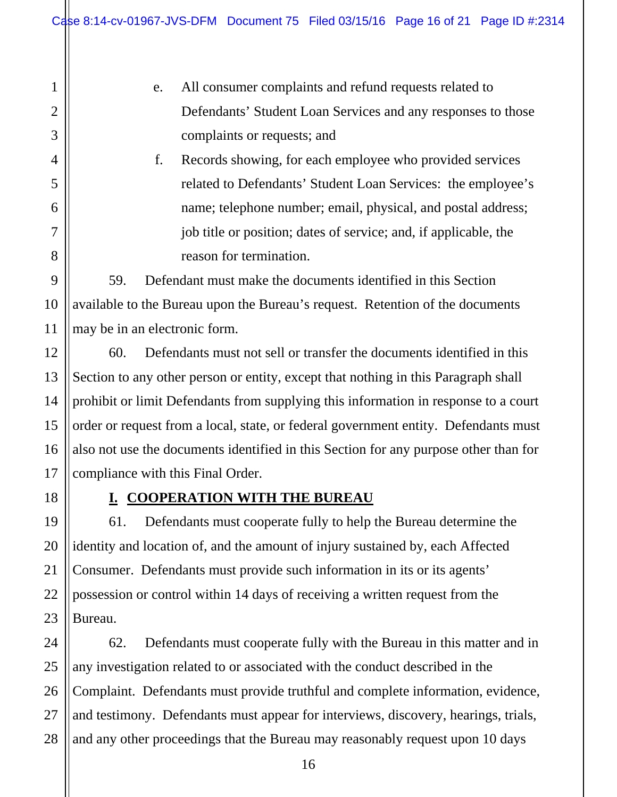- e. All consumer complaints and refund requests related to Defendants' Student Loan Services and any responses to those complaints or requests; and
- f. Records showing, for each employee who provided services related to Defendants' Student Loan Services: the employee's name; telephone number; email, physical, and postal address; job title or position; dates of service; and, if applicable, the reason for termination.

59. Defendant must make the documents identified in this Section available to the Bureau upon the Bureau's request. Retention of the documents may be in an electronic form.

60. Defendants must not sell or transfer the documents identified in this Section to any other person or entity, except that nothing in this Paragraph shall prohibit or limit Defendants from supplying this information in response to a court order or request from a local, state, or federal government entity. Defendants must also not use the documents identified in this Section for any purpose other than for compliance with this Final Order.

1

2

3

4

5

6

7

8

9

10

11

12

13

14

15

16

17

18

19

20

21

22

23

#### **I. COOPERATION WITH THE BUREAU**

61. Defendants must cooperate fully to help the Bureau determine the identity and location of, and the amount of injury sustained by, each Affected Consumer. Defendants must provide such information in its or its agents' possession or control within 14 days of receiving a written request from the Bureau.

24 25 26 27 28 62. Defendants must cooperate fully with the Bureau in this matter and in any investigation related to or associated with the conduct described in the Complaint. Defendants must provide truthful and complete information, evidence, and testimony. Defendants must appear for interviews, discovery, hearings, trials, and any other proceedings that the Bureau may reasonably request upon 10 days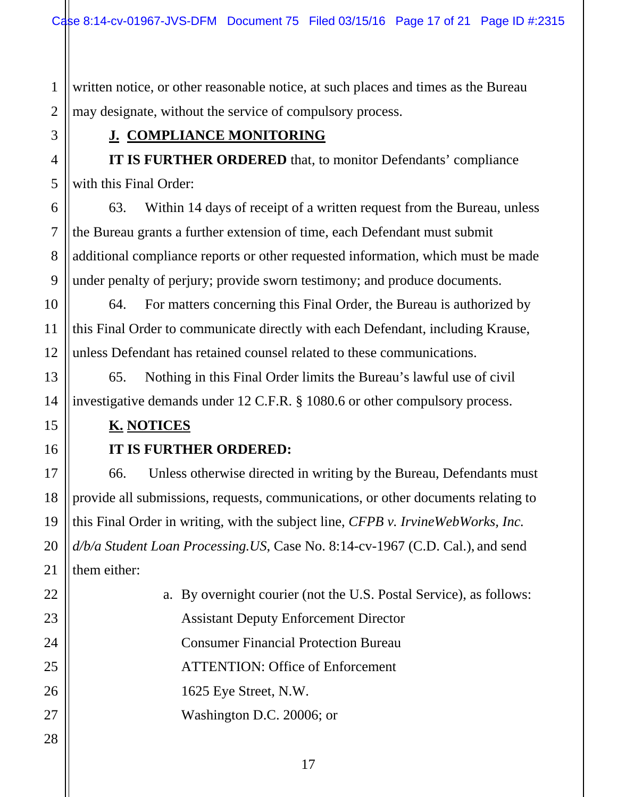1 2 written notice, or other reasonable notice, at such places and times as the Bureau may designate, without the service of compulsory process.

#### **J. COMPLIANCE MONITORING**

**IT IS FURTHER ORDERED** that, to monitor Defendants' compliance with this Final Order:

63. Within 14 days of receipt of a written request from the Bureau, unless the Bureau grants a further extension of time, each Defendant must submit additional compliance reports or other requested information, which must be made under penalty of perjury; provide sworn testimony; and produce documents.

64. For matters concerning this Final Order, the Bureau is authorized by this Final Order to communicate directly with each Defendant, including Krause, unless Defendant has retained counsel related to these communications.

65. Nothing in this Final Order limits the Bureau's lawful use of civil investigative demands under 12 C.F.R. § 1080.6 or other compulsory process.

#### **K. NOTICES**

3

4

5

6

7

8

9

10

11

12

13

14

15

16

17

18

19

20

21

#### **IT IS FURTHER ORDERED:**

66. Unless otherwise directed in writing by the Bureau, Defendants must provide all submissions, requests, communications, or other documents relating to this Final Order in writing, with the subject line, *CFPB v. IrvineWebWorks, Inc. d/b/a Student Loan Processing.US*, Case No. 8:14-cv-1967 (C.D. Cal.), and send them either:

| $22\,$ | a. By overnight courier (not the U.S. Postal Service), as follows: |
|--------|--------------------------------------------------------------------|
| 23     | <b>Assistant Deputy Enforcement Director</b>                       |
| 24     | <b>Consumer Financial Protection Bureau</b>                        |
| 25     | <b>ATTENTION: Office of Enforcement</b>                            |
| 26     | 1625 Eye Street, N.W.                                              |
| 27     | Washington D.C. 20006; or                                          |
| 28     |                                                                    |
|        |                                                                    |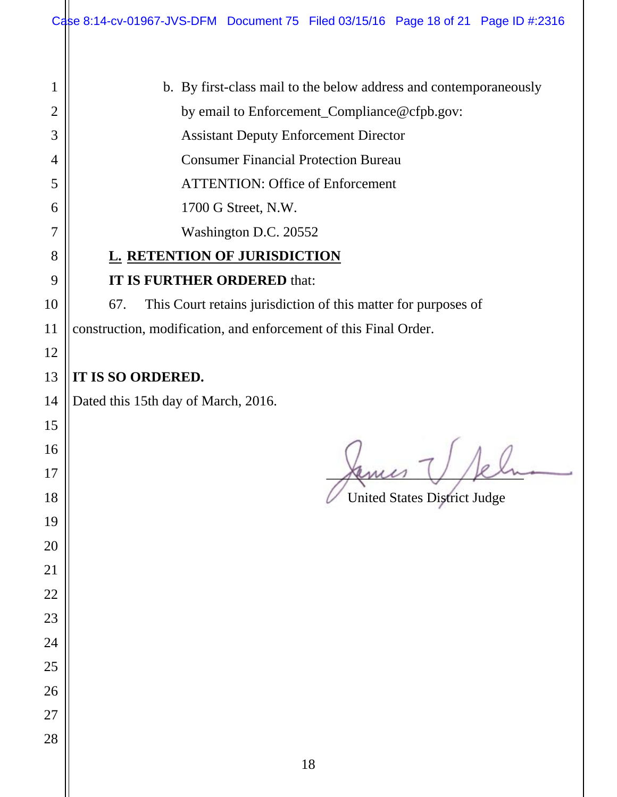| $\mathbf{1}$   | b. By first-class mail to the below address and contemporaneously     |  |  |
|----------------|-----------------------------------------------------------------------|--|--|
| $\overline{2}$ | by email to Enforcement_Compliance@cfpb.gov:                          |  |  |
| 3              | <b>Assistant Deputy Enforcement Director</b>                          |  |  |
| 4              | <b>Consumer Financial Protection Bureau</b>                           |  |  |
| 5              | <b>ATTENTION: Office of Enforcement</b>                               |  |  |
| 6              | 1700 G Street, N.W.                                                   |  |  |
| 7              | Washington D.C. 20552                                                 |  |  |
| 8              | <b>L. RETENTION OF JURISDICTION</b>                                   |  |  |
| 9              | IT IS FURTHER ORDERED that:                                           |  |  |
| 10             | This Court retains jurisdiction of this matter for purposes of<br>67. |  |  |
| 11             | construction, modification, and enforcement of this Final Order.      |  |  |
| 12             |                                                                       |  |  |
| 13             | IT IS SO ORDERED.                                                     |  |  |
| 14             | Dated this 15th day of March, 2016.                                   |  |  |
| 15             |                                                                       |  |  |
| 16             |                                                                       |  |  |
| 17             |                                                                       |  |  |
| 18             | <b>United States District Judge</b>                                   |  |  |
| 19             |                                                                       |  |  |
| 20             |                                                                       |  |  |
| 21             |                                                                       |  |  |
| 22             |                                                                       |  |  |
| 23             |                                                                       |  |  |
| 24             |                                                                       |  |  |
| 25             |                                                                       |  |  |
| 26             |                                                                       |  |  |
| 27             |                                                                       |  |  |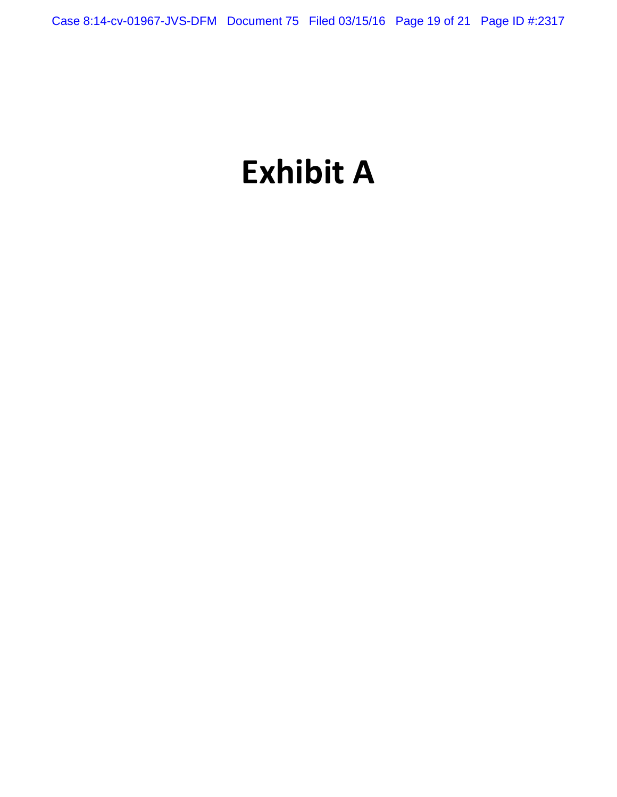# **Exhibit A**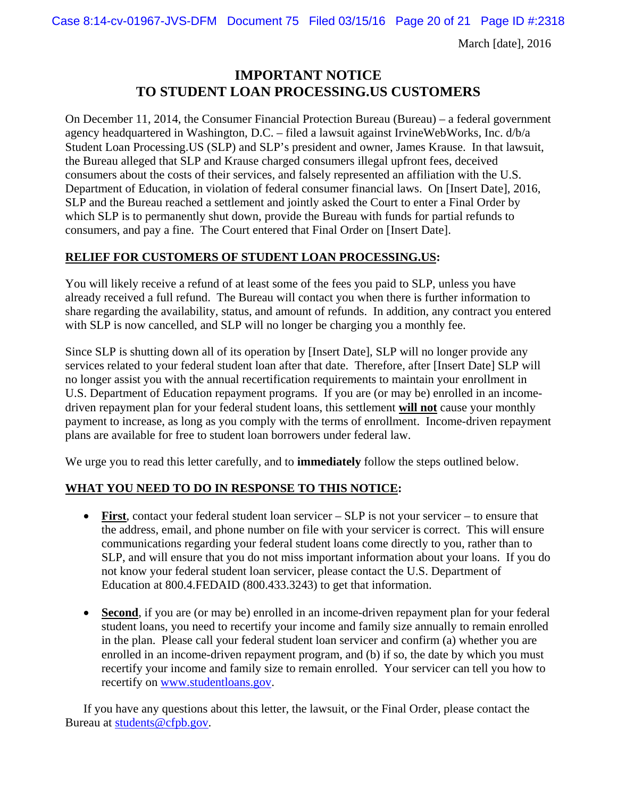Case 8:14-cv-01967-JVS-DFM Document 75 Filed 03/15/16 Page 20 of 21 Page ID #:2318

March [date], 2016

#### **IMPORTANT NOTICE TO STUDENT LOAN PROCESSING.US CUSTOMERS**

On December 11, 2014, the Consumer Financial Protection Bureau (Bureau) – a federal government agency headquartered in Washington, D.C. – filed a lawsuit against IrvineWebWorks, Inc. d/b/a Student Loan Processing.US (SLP) and SLP's president and owner, James Krause. In that lawsuit, the Bureau alleged that SLP and Krause charged consumers illegal upfront fees, deceived consumers about the costs of their services, and falsely represented an affiliation with the U.S. Department of Education, in violation of federal consumer financial laws. On [Insert Date], 2016, SLP and the Bureau reached a settlement and jointly asked the Court to enter a Final Order by which SLP is to permanently shut down, provide the Bureau with funds for partial refunds to consumers, and pay a fine. The Court entered that Final Order on [Insert Date].

#### **RELIEF FOR CUSTOMERS OF STUDENT LOAN PROCESSING.US:**

You will likely receive a refund of at least some of the fees you paid to SLP, unless you have already received a full refund. The Bureau will contact you when there is further information to share regarding the availability, status, and amount of refunds. In addition, any contract you entered with SLP is now cancelled, and SLP will no longer be charging you a monthly fee.

Since SLP is shutting down all of its operation by [Insert Date], SLP will no longer provide any services related to your federal student loan after that date. Therefore, after [Insert Date] SLP will no longer assist you with the annual recertification requirements to maintain your enrollment in U.S. Department of Education repayment programs. If you are (or may be) enrolled in an incomedriven repayment plan for your federal student loans, this settlement **will not** cause your monthly payment to increase, as long as you comply with the terms of enrollment. Income-driven repayment plans are available for free to student loan borrowers under federal law.

We urge you to read this letter carefully, and to **immediately** follow the steps outlined below.

#### **WHAT YOU NEED TO DO IN RESPONSE TO THIS NOTICE:**

- **First**, contact your federal student loan servicer SLP is not your servicer to ensure that the address, email, and phone number on file with your servicer is correct. This will ensure communications regarding your federal student loans come directly to you, rather than to SLP, and will ensure that you do not miss important information about your loans. If you do not know your federal student loan servicer, please contact the U.S. Department of Education at 800.4.FEDAID (800.433.3243) to get that information.
- **Second**, if you are (or may be) enrolled in an income-driven repayment plan for your federal student loans, you need to recertify your income and family size annually to remain enrolled in the plan. Please call your federal student loan servicer and confirm (a) whether you are enrolled in an income-driven repayment program, and (b) if so, the date by which you must recertify your income and family size to remain enrolled. Your servicer can tell you how to recertify on www.studentloans.gov.

If you have any questions about this letter, the lawsuit, or the Final Order, please contact the Bureau at students@cfpb.gov.